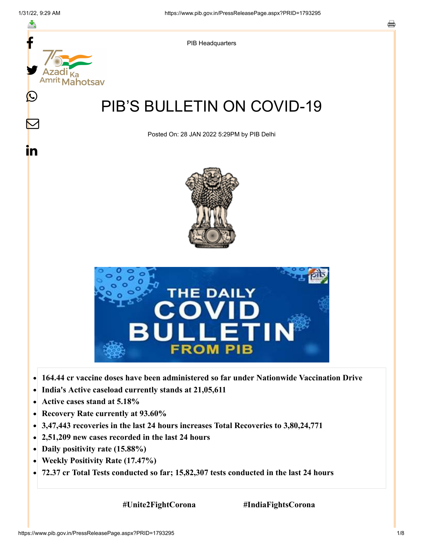f



- **India's Active caseload currently stands at 21,05,611**  $\bullet$
- **Active cases stand at 5.18%**  $\bullet$
- $\bullet$ **Recovery Rate currently at 93.60%**
- **3,47,443 recoveries in the last 24 hours increases Total Recoveries to 3,80,24,771**  $\bullet$
- **2,51,209 new cases recorded in the last 24 hours**
- **Daily positivity rate (15.88%)**
- **Weekly Positivity Rate (17.47%)**  $\bullet$
- **72.37 cr Total Tests conducted so far; 15,82,307 tests conducted in the last 24 hours**  $\bullet$

 **#Unite2FightCorona #IndiaFightsCorona**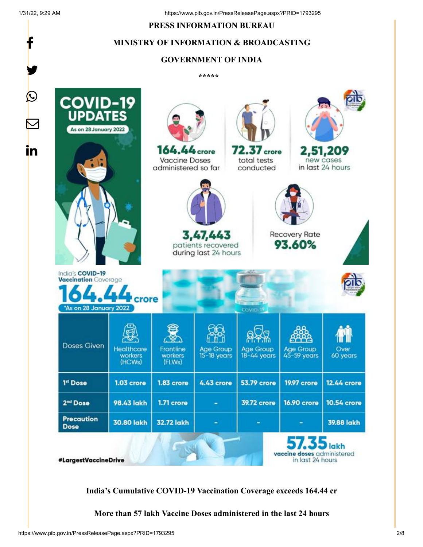f

y.

#### **PRESS INFORMATION BUREAU**

#### **MINISTRY OF INFORMATION & BROADCASTING**

#### **GOVERNMENT OF INDIA**

**\*\*\*\*\*** 



**India's Cumulative COVID-19 Vaccination Coverage exceeds 164.44 cr**

**More than 57 lakh Vaccine Doses administered in the last 24 hours**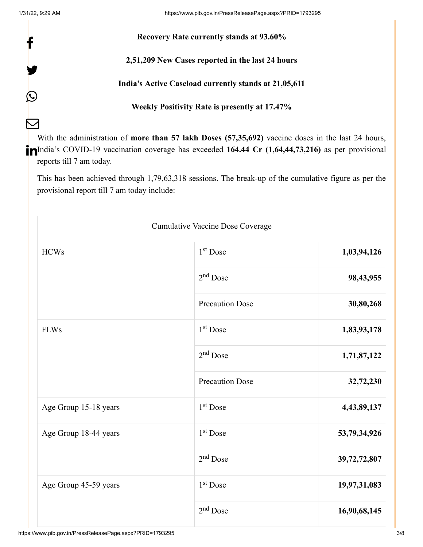f

y.

 $\bm{\mathcal{Q}}$ 

 $\sum$ 

#### **Recovery Rate currently stands at 93.60%**

#### **2,51,209 New Cases reported in the last 24 hours**

#### **India's Active Caseload currently stands at 21,05,611**

## **Weekly Positivity Rate is presently at 17.47%**

With the administration of **more than 57 lakh Doses (57,35,692)** vaccine doses in the last 24 hours, India's COVID-19 vaccination coverage has exceeded **164.44 Cr (1,64,44,73,216)** as per provisional reports till 7 am today.

This has been achieved through 1,79,63,318 sessions. The break-up of the cumulative figure as per the provisional report till 7 am today include:

| Cumulative Vaccine Dose Coverage |                        |              |
|----------------------------------|------------------------|--------------|
| <b>HCWs</b>                      | $1st$ Dose             | 1,03,94,126  |
|                                  | $2nd$ Dose             | 98,43,955    |
|                                  | <b>Precaution Dose</b> | 30,80,268    |
| <b>FLWs</b>                      | 1 <sup>st</sup> Dose   | 1,83,93,178  |
|                                  | $2nd$ Dose             | 1,71,87,122  |
|                                  | <b>Precaution Dose</b> | 32,72,230    |
| Age Group 15-18 years            | $1st$ Dose             | 4,43,89,137  |
| Age Group 18-44 years            | $1st$ Dose             | 53,79,34,926 |
|                                  | $2nd$ Dose             | 39,72,72,807 |
| Age Group 45-59 years            | $1st$ Dose             | 19,97,31,083 |
|                                  | $2nd$ Dose             | 16,90,68,145 |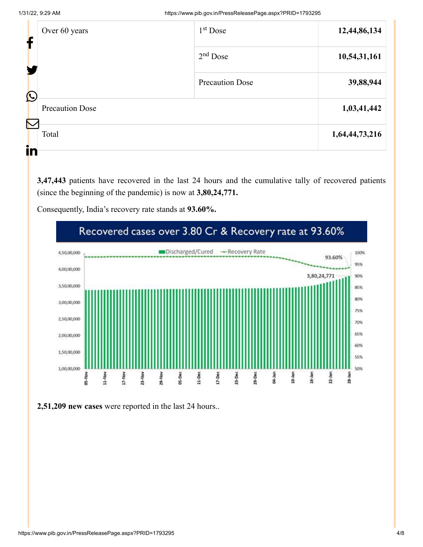| ł                                                | Over 60 years                        | $1st$ Dose             | 12,44,86,134   |
|--------------------------------------------------|--------------------------------------|------------------------|----------------|
|                                                  |                                      | $2nd$ Dose             | 10,54,31,161   |
|                                                  |                                      | <b>Precaution Dose</b> | 39,88,944      |
|                                                  | $\bigcirc$<br><b>Precaution Dose</b> |                        | 1,03,41,442    |
| $\mathcal{N}% _{0}\left( \mathcal{N}_{0}\right)$ | Total                                |                        | 1,64,44,73,216 |
| in                                               |                                      |                        |                |

**3,47,443** patients have recovered in the last 24 hours and the cumulative tally of recovered patients (since the beginning of the pandemic) is now at **3,80,24,771.**

Consequently, India's recovery rate stands at **93.60%.**



**2,51,209 new cases** were reported in the last 24 hours..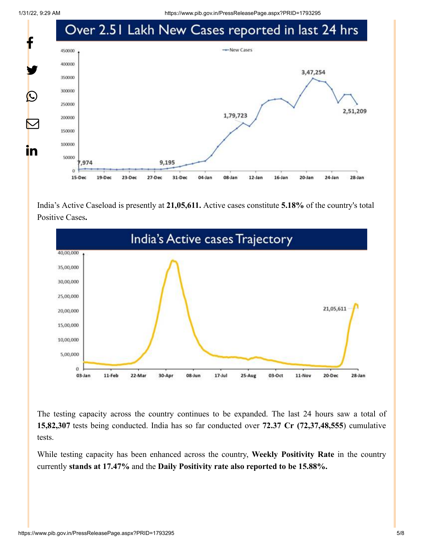1/31/22, 9:29 AM https://www.pib.gov.in/PressReleasePage.aspx?PRID=1793295



India's Active Caseload is presently at **21,05,611.** Active cases constitute **5.18%** of the country's total Positive Cases**.**



The testing capacity across the country continues to be expanded. The last 24 hours saw a total of **15,82,307** tests being conducted. India has so far conducted over **72.37 Cr (72,37,48,555**) cumulative tests.

While testing capacity has been enhanced across the country, **Weekly Positivity Rate** in the country currently **stands at 17.47%** and the **Daily Positivity rate also reported to be 15.88%.**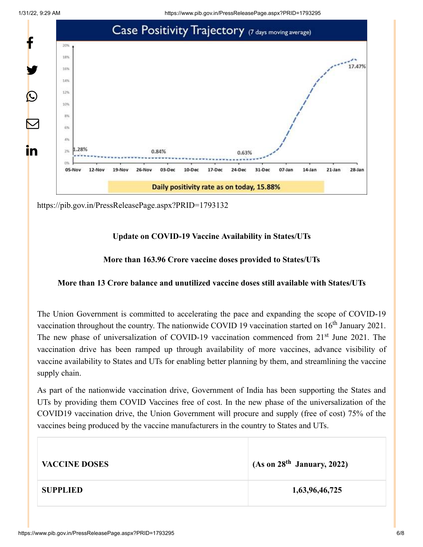



<https://pib.gov.in/PressReleasePage.aspx?PRID=1793132>

# **Update on COVID-19 Vaccine Availability in States/UTs**

## **More than 163.96 Crore vaccine doses provided to States/UTs**

## **More than 13 Crore balance and unutilized vaccine doses still available with States/UTs**

The Union Government is committed to accelerating the pace and expanding the scope of COVID-19 vaccination throughout the country. The nationwide COVID 19 vaccination started on  $16<sup>th</sup>$  January 2021. The new phase of universalization of COVID-19 vaccination commenced from 21<sup>st</sup> June 2021. The vaccination drive has been ramped up through availability of more vaccines, advance visibility of vaccine availability to States and UTs for enabling better planning by them, and streamlining the vaccine supply chain.

As part of the nationwide vaccination drive, Government of India has been supporting the States and UTs by providing them COVID Vaccines free of cost. In the new phase of the universalization of the COVID19 vaccination drive, the Union Government will procure and supply (free of cost) 75% of the vaccines being produced by the vaccine manufacturers in the country to States and UTs.

| <b>VACCINE DOSES</b> | (As on 28 <sup>th</sup> January, 2022) |
|----------------------|----------------------------------------|
| <b>SUPPLIED</b>      | 1,63,96,46,725                         |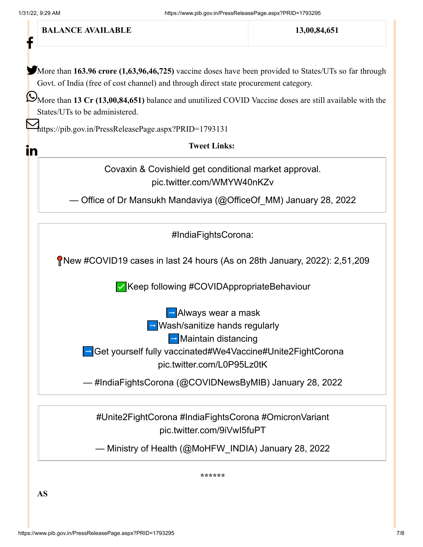

**AS**